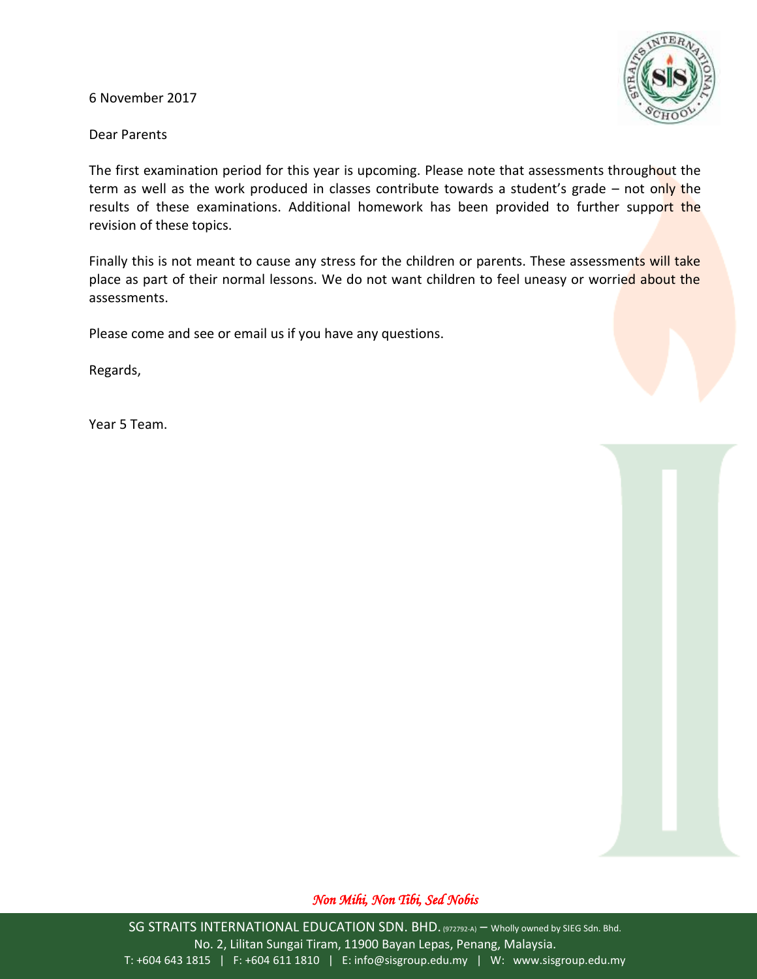6 November 2017



Dear Parents

The first examination period for this year is upcoming. Please note that assessments throughout the term as well as the work produced in classes contribute towards a student's grade – not only the results of these examinations. Additional homework has been provided to further support the revision of these topics.

Finally this is not meant to cause any stress for the children or parents. These assessments will take place as part of their normal lessons. We do not want children to feel uneasy or worried about the assessments.

Please come and see or email us if you have any questions.

Regards,

Year 5 Team.

## *Non Mihi, Non Tibi, Sed Nobis*

SG STRAITS INTERNATIONAL EDUCATION SDN. BHD. (972792-A) - Wholly owned by SIEG Sdn. Bhd. No. 2, Lilitan Sungai Tiram, 11900 Bayan Lepas, Penang, Malaysia. T: +604 643 1815 | F: +604 611 1810 | E: info@sisgroup.edu.my | W: www.sisgroup.edu.my